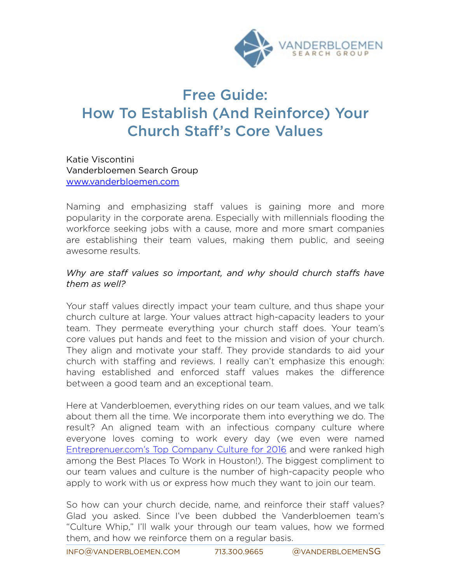

# Free Guide: How To Establish (And Reinforce) Your Church Staff's Core Values

Katie Viscontini Vanderbloemen Search Group [www.vanderbloemen.com](http://www.vanderbloemen.com)

Naming and emphasizing staff values is gaining more and more popularity in the corporate arena. Especially with millennials flooding the workforce seeking jobs with a cause, more and more smart companies are establishing their team values, making them public, and seeing awesome results.

#### *Why are staff values so important, and why should church staffs have them as well?*

Your staff values directly impact your team culture, and thus shape your church culture at large. Your values attract high-capacity leaders to your team. They permeate everything your church staff does. Your team's core values put hands and feet to the mission and vision of your church. They align and motivate your staff. They provide standards to aid your church with staffing and reviews. I really can't emphasize this enough: having established and enforced staff values makes the difference between a good team and an exceptional team.

Here at Vanderbloemen, everything rides on our team values, and we talk about them all the time. We incorporate them into everything we do. The result? An aligned team with an infectious company culture where everyone loves coming to work every day (we even were named [Entreprenuer.com's Top Company Culture for 2016](http://www.entrepreneur.com/article/252279) and were ranked high among the Best Places To Work in Houston!). The biggest compliment to our team values and culture is the number of high-capacity people who apply to work with us or express how much they want to join our team.

So how can your church decide, name, and reinforce their staff values? Glad you asked. Since I've been dubbed the Vanderbloemen team's "Culture Whip," I'll walk your through our team values, how we formed them, and how we reinforce them on a regular basis.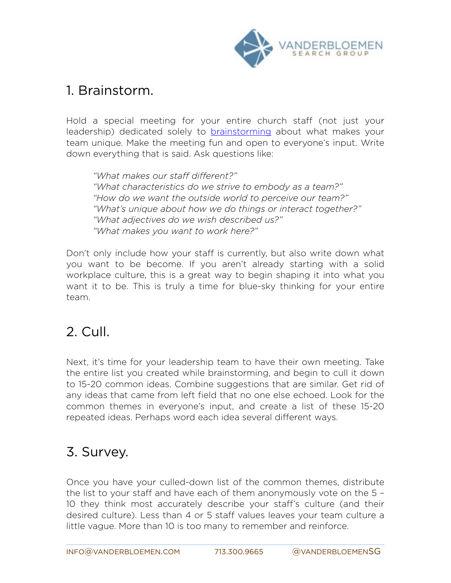

### 1. Brainstorm.

Hold a special meeting for your entire church staff (not just your leadership) dedicated solely to [brainstorming](https://www.vanderbloemen.com/blog/how-to-conduct-effective-brainstorming-meetings-with-your-church-staff) about what makes your team unique. Make the meeting fun and open to everyone's input. Write down everything that is said. Ask questions like:

*"What makes our staff different?" "What characteristics do we strive to embody as a team?" "How do we want the outside world to perceive our team?" "What's unique about how we do things or interact together?" "What adjectives do we wish described us?" "What makes you want to work here?"*

Don't only include how your staff is currently, but also write down what you want to be become. If you aren't already starting with a solid workplace culture, this is a great way to begin shaping it into what you want it to be. This is truly a time for blue-sky thinking for your entire team.

## 2. Cull.

Next, it's time for your leadership team to have their own meeting. Take the entire list you created while brainstorming, and begin to cull it down to 15-20 common ideas. Combine suggestions that are similar. Get rid of any ideas that came from left field that no one else echoed. Look for the common themes in everyone's input, and create a list of these 15-20 repeated ideas. Perhaps word each idea several different ways.

## 3. Survey.

Once you have your culled-down list of the common themes, distribute the list to your staff and have each of them anonymously vote on the 5 – 10 they think most accurately describe your staff's culture (and their desired culture). Less than 4 or 5 staff values leaves your team culture a little vague. More than 10 is too many to remember and reinforce.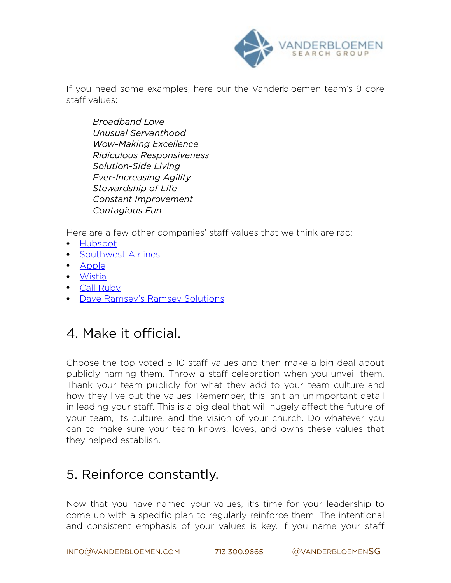

If you need some examples, here our the Vanderbloemen team's 9 core staff values:

*Broadband Love Unusual Servanthood Wow-Making Excellence Ridiculous Responsiveness Solution-Side Living Ever-Increasing Agility Stewardship of Life Constant Improvement Contagious Fun*

Here are a few other companies' staff values that we think are rad:

- [Hubspot](http://blog.hubspot.com/blog/tabid/6307/bid/34234/The-HubSpot-Culture-Code-Creating-a-Company-We-Love.aspx)
- [Southwest Airlines](https://www.southwest.com/html/about-southwest/careers/culture.html)
- [Apple](https://www.therainmakergroupinc.com/human-capital-strategy-blog/bid/118523/five-core-apple-beliefs-every-company-should-have)
- [Wistia](http://wistia.com/blog/company-values)
- [Call Ruby](http://www.callruby.com/the_watercooler/2009/08/rubyisms-ruby-receptionists-core-values/)
- [Dave Ramsey's Ramsey Solutions](https://www.daveramsey.com/careers/about-us)

#### 4. Make it official.

Choose the top-voted 5-10 staff values and then make a big deal about publicly naming them. Throw a staff celebration when you unveil them. Thank your team publicly for what they add to your team culture and how they live out the values. Remember, this isn't an unimportant detail in leading your staff. This is a big deal that will hugely affect the future of your team, its culture, and the vision of your church. Do whatever you can to make sure your team knows, loves, and owns these values that they helped establish.

## 5. Reinforce constantly.

Now that you have named your values, it's time for your leadership to come up with a specific plan to regularly reinforce them. The intentional and consistent emphasis of your values is key. If you name your staff